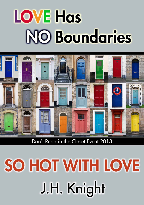# **LOVE Has NO Boundaries**



Don't Read in the Closet Event 2013

# SO HOT WITH LOVE J.H. Knight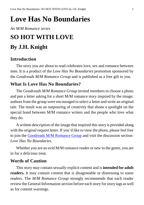# **Love Has No Boundaries**

#### *An M/M Romance series*

# **SO HOT WITH LOVE By J.H. Knight**

### **Introduction**

The story you are about to read celebrates love, sex and romance between men. It is a product of the *Love Has No Boundaries* promotion sponsored by the *Goodreads M/M Romance Group* and is published as a free gift to you.

## **What Is Love Has No Boundaries?**

The *Goodreads M/M Romance Group* invited members to choose a photo and pen a letter asking for a short M/M romance story inspired by the image; authors from the group were encouraged to select a letter and write an original tale. The result was an outpouring of creativity that shone a spotlight on the special bond between M/M romance writers and the people who love what they do.

A written description of the image that inspired this story is provided along with the original request letter. If you'd like to view the photo, please feel free to join the [Goodreads M/M Romance Group](http://www.goodreads.com/group/show/20149-m-m-romance) and visit the discussion section: *Love Has No Boundaries*.

Whether you are an avid M/M romance reader or new to the genre, you are in for a delicious treat.

### **Words of Caution**

This story may contain sexually explicit content and is **intended for adult readers.** It may contain content that is disagreeable or distressing to some readers. The *M/M Romance Group* strongly recommends that each reader review the General Information section before each story for story tags as well as for content warnings.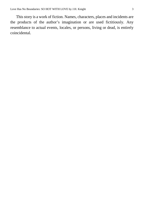This story is a work of fiction. Names, characters, places and incidents are the products of the author's imagination or are used fictitiously. Any resemblance to actual events, locales, or persons, living or dead, is entirely coincidental.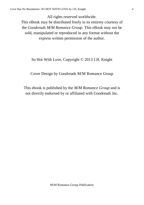All rights reserved worldwide. This eBook may be distributed freely in its entirety courtesy of the *Goodreads M/M Romance Group*. This eBook may not be sold, manipulated or reproduced in any format without the express written permission of the author.

#### So Hot With Love, Copyright © 2013 J.H. Knight

Cover Design by Goodreads M/M Romance Group

This ebook is published by the *M/M Romance Group* and is not directly endorsed by or affiliated with Goodreads Inc.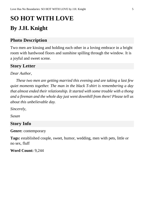# **SO HOT WITH LOVE By J.H. Knight**

## **Photo Description**

Two men are kissing and holding each other in a loving embrace in a bright room with hardwood floors and sunshine spilling through the window. It is a joyful and sweet scene.

## **Story Letter**

#### *Dear Author,*

*These two men are getting married this evening and are taking a last few quiet moments together. The man in the black T-shirt is remembering a day that almost ended their relationship. It started with some trouble with a thong and a fireman and the whole day just went downhill from there! Please tell us about this unbelievable day.*

*Sincerely,*

*Susan* 

### **Story Info**

**Genre:** contemporary

**Tags:** established couple, sweet, humor, wedding, men with pets, little or no sex, fluff

**Word Count:** 9,244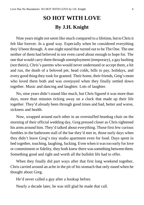# **SO HOT WITH LOVE By J.H. Knight**

Nine years might not seem like much compared to a lifetime, but to Chris it felt like forever. In a good way. Especially when he considered everything they'd been through. A one-night stand that turned out to be The One. The one neither of them had believed in nor even cared about enough to hope for. The one that would carry them through unemployment (temporary), a gay bashing (not theirs), Chris's parents who would never understand or accept them, a hit and run, the death of a beloved pet, head colds, bills to pay, holidays, and every good thing they took for granted. Their home, their friends, Greg's mom who loved them both and was overjoyed when they finally settled down together. Music and dancing and laughter. Lots of laughter.

No, nine years didn't sound like much, but Chris figured it was more than days, more than minutes ticking away on a clock that made up their life together. They'd already been through good times and bad, better and worse, sickness and health.

Now, wrapped around each other in an overstuffed beanbag chair on the morning of their official wedding day, Greg pressed closer as Chris tightened his arms around him. They'd talked about everything. Those first few curious fumbles in the bathroom stall of the bar they'd met in, those early days when they didn't leave Greg's tiny studio apartment even for food. Days spent in bed together, touching, laughing, fucking. Even when it wastoo early for love or commitment or fidelity, they both knew there wassomething between them. Something good and right and worth all the bullshit life had to offer.

When they finally did part ways after that first long weekend together, Chris carried around an ache in the pit of his stomach that only eased when he thought about Greg.

He'd never called a guy after a hookup before.

Nearly a decade later, he was still glad he made that call.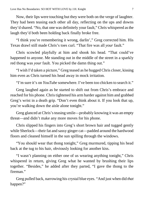Now, their lips were touching but they were both on the verge of laughter. They had been teasing each other all day, reflecting on the ups and downs they'd shared. "No, that one was definitely your fault," Chris whispered asthe laugh they'd both been holding back finally broke free.

"I think you're remembering it wrong, darlin'," Greg corrected him. His Texas drawl still made Chris's toes curl. "That fire was all *your* fault."

Chris scowled playfully at him and shook his head. "That could've happened to anyone. Me standing out in the middle of the street in a sparkly red thong was *your* fault. You picked the damn thing out."

"I wish I'd taken a picture," Greg teased as he hugged Chris closer, kissing him even as Chris turned his head away in mock irritation.

"I'm sure it's on *YouTube* somewhere. I've been too chicken to search it."

Greg laughed again as he started to shift out from Chris's embrace and reached for his phone. Christightened his arm harder against him and grabbed Greg's wrist in a death grip. "Don't even think about it. If you look that up, you're walking down the aisle alone tonight."

Greg glanced at Chris's teasing smile—probably knowing it was an empty threat—and didn't make any more moves for his phone.

Chris slipped his fingers into Greg's short brown hair and tugged gently while Sherlock—their fat and sassy ginger cat—padded around the hardwood floors and cleaned himself in the sun spilling through the windows.

"You should wear that thong tonight," Greg murmured, tipping his head back at the tug to his hair, obviously looking for another kiss.

"I wasn't planning on either one of us wearing anything tonight," Chris whispered in return, giving Greg what he wanted by brushing their lips together. "Besides," he added after they parted, "I gave the thong to the fireman."

Greg pulled back, narrowing his crystal blue eyes. "And just when did *that* happen?"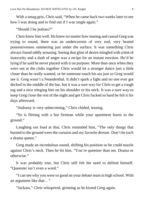With a smug grin, Chris said, "When he came back two weeks later to see how I was doing and to find out if I was single again."

"Should I be jealous?"

Chris knew him well. He knew no matter how teasing and casual Greg was trying to sound, there was an undercurrent of very real, very heated possessiveness simmering just under the surface. It was something Chris always found oddly arousing. Seeing that glint of desire mingled with a hint of insecurity and a dash of anger was a recipe for an instant erection. He'd be lying if he said he never played with it on purpose. More than once when they were out at the clubs together Chris would let a stranger dance just a little closer than he really wanted, or let someone touch his ass just so Greg would see it. Greg wasn't a Neanderthal. It didn't spark a fight and no one ever got decked in the middle of the bar, but it was a sure way for Chris to get a rough tug and a nice stinging bite on his shoulder or his neck. It was a sure way to keep Greg close the rest of the night and get Chris fucked so hard he felt it for days afterward.

"Jealousy is very unbecoming," Chris chided, teasing.

"So is flirting with a hot fireman while your apartment burns to the ground."

Laughing out loud at that, Chris reminded him, "The only things that burned to the ground were the curtains and my favorite dresser. Don't be such a drama queen."

Greg made an incredulous sound, shifting his position so he could nuzzle against Chris's neck. Then he bit him. "You're queenier than me. Drama or otherwise."

It was probably true, but Chris still felt the need to defend himself. "Queenier isn't even a word."

"I can see why you were so good on your debate team in high school. With an argument like that…"

"Jackass," Chris whispered, grinning as he kissed Greg again.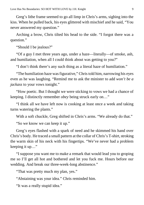Greg's lithe frame seemed to go all limp in Chris's arms, sighing into the kiss. When he pulled back, his eyes glittered with mischief and he said, "You never answered my question."

Arching a brow, Chris tilted his head to the side. "I forgot there was a question."

"Should I be jealous?"

"Of a guy I met three years ago, under a haze—literally—of smoke, ash, and humiliation, when all I could think about was getting to you?"

"I don't think there's any such thing as a literal haze of humiliation."

"The humiliation haze was figurative," Chris told him, narrowing his eyes even as he was laughing. "Remind me to ask the minister to add *won't be a jackass* to your vows tonight."

"How poetic. But I thought we were sticking to vows we had a chance of keeping. I distinctly remember *obey* being struck early on…"

"I think all we have left now is cooking at least once a week and taking turns watering the plants."

With a soft chuckle, Greg shifted in Chris's arms. "We already do that."

"So we know we can keep it up."

Greg's eyes flashed with a spark of need and he skimmed his hand over Chris's body. He traced a small pattern at the collar of Chris's T-shirt, stroking the warm skin of his neck with his fingertips. "We've never had a problem keeping it up…"

"I suppose you want me to make a remark that would lead you to groping me so I'll get all hot and bothered and let you fuck me. Hours before our wedding. And break our three-week-long abstinence."

"That was pretty much my plan, yes."

"Abstaining was your idea." Chris reminded him.

"It was a really stupid idea."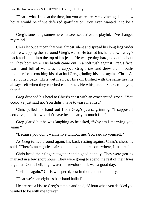"That's what I said at the time, but you were pretty convincing about how hot it would be if we deferred gratification. You even wanted it to be a month."

Greg's tone hung somewhere between seductive and playful. "I've changed my mind."

Chris let out a moan that was almost silent and spread his long legs wider before wrapping them around Greg's waist. He trailed his hand down Greg's back and slid it into the top of his jeans. He was getting hard, no doubt about it. They both were. His breath came out in a soft rush against Greg's face, warm and full of want, as he cupped Greg's jaw and drew their mouths together for a scorching kiss that had Greg grinding his hips against Chris. As they pulled back, Chris wet his lips. His skin flushed with the same heat he always felt when they touched each other. He whispered, "Sucks to be you, then."

Greg dropped his head to Chris's chest with an exasperated groan. "You could've just said no. You didn't have to tease me first."

Chris pulled his hand out from Greg's jeans, grinning. "I suppose I could've, but that wouldn't have been nearly as much fun."

Greg glared but he was laughing as he asked, "Why am I marrying you, again?"

"Because you don't wanna live without me. You said so yourself."

As Greg turned around again, his back resting against Chris's chest, he said, "There's an eighties hair band ballad in there somewhere, I'm sure."

Chris laced their fingers together and sighed happily. They were getting married in a few short hours. They were going to spend the rest of their lives together. Come hell, high water, or revolution. It was a good day.

"Tell me again," Chris whispered, lost in thought and memory.

"That we're an eighties hair band ballad?"

He pressed a kiss to Greg's temple and said, "About when you decided you wanted to be with me forever."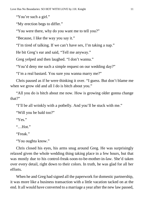"You're such a girl."

"My erection begs to differ."

"You were there, why do you want me to tell you?"

"Because, I like the way you say it."

"I'm tired of talking. If we can't have sex, I'm taking a nap."

He bit Greg's ear and said, "Tell me anyway."

Greg yelped and then laughed. "I don't wanna."

"You'd deny me such a simple request on our wedding day?"

"I'm a real bastard. You sure you wanna marry me?"

Chris paused as if he were thinking it over. "I guess. But don't blame me when we grow old and all I do is bitch about you."

"All you do is bitch about me now. How is growing older gonna change that?"

"I'll be all wrinkly with a potbelly. And you'll be stuck with me."

"Will you be bald too?"

"Yes."

 $"$  Hot."

"Freak."

"You oughta know."

Chris closed his eyes, his arms snug around Greg. He was surprisingly relaxed given the whole wedding thing taking place in a few hours, but that was mostly due to his control-freak-soon-to-be-mother-in-law. She'd taken over every detail, right down to their colors. In truth, he was glad for all her efforts.

When he and Greg had signed all the paperwork for domestic partnership, it was more like a business transaction with a little vacation tacked on at the end. It all would have converted to a marriage a year after the new law passed,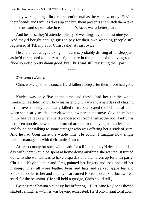but they were getting a little more sentimental as the years went by. Having their friends and families dress up and buy them presents and watch them take their vows and shove cake in each other's faces was a better plan.

And besides, they'd attended plenty of weddings over the last nine years. And they'd bought enough gifts to pay for their own wedding (people still registered at Tiffany's for Christ sake) at least twice.

He could feel Greg relaxing in his arms, probably drifting off to sleep just as he'd threatened to do. A nap right there in the middle of the living room floor sounded pretty damn good, but Chris was still revisiting their past.

\*\*\*\*

#### *Two Years Earlier*

Chris woke up on the couch. He'd fallen asleep after their niece had gone home.

Kaylee was only five at the time and they'd had her for the whole weekend. He didn't know how his sister did it. Two and a half days of chasing her all over the city had nearly killed them. She scared the hell out of them when she nearly scalded herself with hot water on the stove. Gave them both minor heart attacks when she'd wandered off from them at the zoo. And Chris had been apoplectic when he'd turned around from buying her an ice cream and found her talking to some stranger who was offering her a stick of gum. And he had Greg there the whole time. He couldn't imagine how single parents managed it with their sanity intact.

After too many brushes with death for a lifetime, they'd decided her last day with them would be spent at home doing anything she wanted. It turned out what she wanted was to have a spa day and then dress up for a tea party. Chris did Kaylee's hair and Greg painted her fingers and toes and did her makeup. They all wore feather boas and hats and served apple tea and Snickerdoodles to her and a teddy bear named Boston. Even Sherlock wore a scarf for the occasion. (He still held a grudge, Chris could tell.)

By the time Shawna picked up her offspring—Hurricane Kaylee as they'd started calling her—Chris was beyond exhausted. He'd only meant to sit down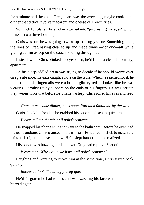for a minute and then help Greg clear away the wreckage, maybe cook some dinner that didn't involve macaroni and cheese or French fries.

So much for plans. His sit-down turned into "just resting my eyes" which turned into a three-hour nap.

Chris wassure he was going to wake up to an ugly scene. Something along the lines of Greg having cleaned up and made dinner—for *one*—all while glaring at him asleep on the couch, snoring through it all.

Instead, when Chris blinked his eyes open, he'd found a clean, but empty, apartment.

As his sleep-addled brain was trying to decide if he should worry over Greg's absence, his gaze caught a note on the table. When he reached for it, he noticed that his fingernails were a bright, glittery red. It looked like he was wearing Dorothy's ruby slippers on the ends of his fingers. He was certain they weren't like that before he'd fallen asleep. Chris rolled his eyes and read the note.

*Gone to get some dinner, back soon. You look fabulous, by the way.*

Chris shook his head as he grabbed his phone and sent a quick text.

*Please tell me there's nail polish remover.*

He snapped his phone shut and went to the bathroom. Before he even had his jeans undone, Chris glanced in the mirror. He had red lipstick to match the nails and bright blue eye shadow. He'd slept harder than he realized.

His phone was buzzing in his pocket. Greg had replied. Sort of.

*We're men. Why would we have nail polish remover?*

Laughing and wanting to choke him at the same time, Chris texted back quickly.

*Because I look like an ugly drag queen.*

He'd forgotten he had to piss and was washing his face when his phone buzzed again.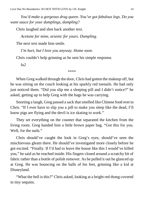*You'd make a gorgeous drag queen. You've got fabulous legs. Do you want sauce for your dumplings, dumpling?*

Chris laughed and shot back another text.

*Acetone for mine, arsenic for yours. Dumpling.*

The next text made him smile.

*I'm hurt, but I love you anyway. Home soon.*

Chris couldn't help grinning as he sent his simple response.

*lu2*

\*\*\*\*

When Greg walked through the door, Chris had gotten the makeup off, but he was sitting on the couch looking at his sparkly red toenails. He had only just noticed them. "Did you slip me a sleeping pill and I didn't notice?" he asked, getting up to help Greg with the bags he was carrying.

Snorting a laugh, Greg passed a sack that smelled like Chinese food over to Chris. "If I ever have to slip you a pill to make you sleep like the dead, I'll know pigs are flying and the devil is ice skating to work."

They set everything on the counter that separated the kitchen from the living room. Greg handed him a little brown paper bag. "Got this for you. Well, for the nails."

Chris should've caught the look in Greg's eyes, should've seen the mischievous gleam there. He should've investigated more closely before he got excited. "Finally. If I'd had to leave the house like this I would've killed you," he said as he reached inside. His fingers closed around a scratchy bit of fabric rather than a bottle of polish remover. As he pulled it out he glanced up at Greg. He was bouncing on the balls of his feet, grinning like a kid at Disneyland.

"What the hell is this?" Chris asked, looking at a bright red thong covered in tiny sequins.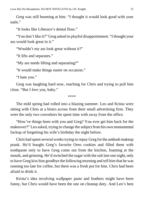Greg was still beaming at him. "I thought it would look good with your nails"

"It looks like Liberace's dental floss."

"You don't like it?" Greg asked in playful disappointment. "I thought your ass would look great in it."

"Wouldn't my ass look great without it?"

"It lifts and separates."

"My ass needs lifting and separating?"

"It would make things easier on occasion."

"I hate you."

Greg was laughing hard now, reaching for Chris and trying to pull him close. "But I *love* you, baby."

\*\*\*\*

The mild spring had rolled into a blazing summer. Leo and Krista were sitting with Chris at a bistro across from their small advertising firm. They were the only two coworkers he spent time with away from the office.

"How've things been with you and Greg? You ever get him back for the makeover?" Leo asked, trying to change the subject from his own monumental fuckup of forgetting his wife's birthday the night before.

Chris had spent several weeks trying to repay Greg for the ambush makeup prank. He'd bought Greg's favorite Oreo cookies and filled them with toothpaste only to have Greg come out from the kitchen, foaming at the mouth, and grinning. He'd switched the sugar with the salt late one night, only to have Greg kiss him goodbye the following morning and tell him that he was running too late for coffee, but there was a fresh pot for him. Chris had been afraid to drink it.

Krista's idea involving wallpaper paste and feathers might have been funny, but Chris would have been the one on cleanup duty. And Leo's best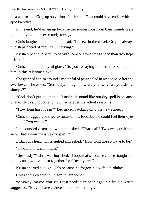idea wasto sign Greg up on various fetish sites. That could have ended with an epic backfire.

In the end, he'd given up because the suggestions from their friends were potentially lethal or extremely messy.

Chris laughed and shook his head. "I threw in the towel. Greg is always two steps ahead of me. It's unnerving."

Krista piped in, "Better to be with someone two steps ahead than two steps behind."

Chris shot her a playful glare. "So you're saying it's better to be me than him in this relationship?"

She grinned at him around a mouthful of pasta salad in response. After she swallowed, she asked, "Seriously, though, how are you two? Are you still… slumpy?"

"God, don't put it like that. It makes it sound like our dry spell is because of erectile dysfunction and not… whatever the actual reason is."

"How long has it been?" Leo asked, latching onto the new subject.

Chris shrugged and tried to focus on his food, but he could feel their eyes on him. "Two weeks."

Leo sounded disgusted when he asked, "That's all? Two weeks without sex? That's your massive dry spell?"

Lifting his head, Chris sighed and asked, "How long does it have to be?"

"Two months, minimum."

"Seriously?" Chris was horrified. "I hope that's because you're straight and not because you've been together for fifteen years."

Krista snorted a laugh. "It's because he forgets his wife's birthday."

Chris and Leo said in unison, "Fair point."

"Anyway, maybe you guys just need to spice things up a little," Krista suggested. "Maybe have a threesome or something…"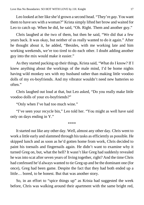Leo looked at her like she'd grown a second head. "They're *gay*. You want them to have sex with a woman?" Krista simply lifted her brow and waited for Leo to catch up. When he did, he said, "Oh. Right. Them and another guy."

Chris laughed at the two of them, but then he said, "We did that a few years back. It was okay, but neither of us really wanted to do it again." After he thought about it, he added, "Besides, with me working late and him working weekends, we're too tired to do each other. I doubt adding another guy into the mix would make it easier."

As they started packing up their things, Krista said, "What do I know? If I knew anything about the workings of the male mind, I'd be home nights having wild monkey sex with my husband rather than making little voodoo dolls of my ex-boyfriends. And my vibrator wouldn't need new batteries so often."

Chris laughed out loud at that, but Leo asked, "Do you really make little voodoo dolls of your ex-boyfriends?"

"Only when I've had too much wine."

"I've seen your recycle bin," Leo told her. "You might as well have said only on days ending in Y."

\*\*\*\*

It started out like any other day. Well, almost any other day. Chris went to work a little early and slammed through histasks as efficiently as possible. He skipped lunch and as soon as he'd gotten home from work, Chris decided to paint his toenails and fingernails again. He didn't want to examine why it turned Greg on, but, what the hell? It wasn't like Greg had suddenly revealed he was into scat after seven years of living together, right? And the time Chris had confessed he'd always wanted to tie Greg up and be the dominant one (for once), Greg had been game. Despite the fact that they had both ended up a little… bored, to be honest. But that was another story.

So, in an effort to "spice things up" as Krista had suggested the week before, Chris was walking around their apartment with the same bright red,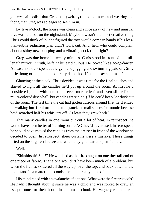glittery nail polish that Greg had (weirdly) liked so much and wearing the thong that Greg was so eager to see him in.

By five o'clock, the house was clean and a nice array of new and unusual toys was laid out on the nightstand. Maybe it wasn't the most creative thing Chris could think of, but he figured the toys would come in handy if his lessthan-subtle seduction plan didn't work out. And, hell, who could complain about a shiny new butt plug and a vibrating cock ring, right?

Greg was due home in twenty minutes. Chris stood in front of the fulllength mirror. In truth, he felt a little ridiculous. He looked like a go-go dancer. At least his hours spent at the gym and jogging and swimming paid off. Silly little thong or not, he looked pretty damn hot. If he did say so himself.

Glancing at the clock, Chris decided it was time for the final touches and started to light all the candles he'd put up around the room. At first he'd considered going with something even more cliché and even sillier like a multi-colored disco ball, but candles were nice. (If he could keep Sherlock out of the room. The last time the cat had gotten curious around fire, he'd ended up walking into furniture and getting stuck in smallspacesfor months because he'd scorched half his whiskers off. At least they grew back.)

That many candles in one room put out a lot of heat. In retrospect, he would have been better off turning on the AC they'd never used. In retrospect, he should have moved the candles from the dresser in front of the window he decided to open. In retrospect, sheer curtains were a mistake. Those things lifted on the slightest breeze and when they got near an open flame…

#### Well.

"Shitshitshit! Shit!" He watched as the fire caught on one tiny tail end of one piece of fabric. That alone wouldn't have been much of a problem, but when the flames skittered all the way up, over the top, and back down to the nightstand in a matter of seconds, the panic really kicked in.

His mind raced with an avalanche of options. What were the fire protocols? He hadn't thought about it since he was a child and was forced to draw an escape route for their house in grammar school. He vaguely remembered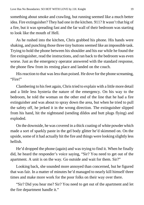something about smoke and crawling, but running seemed like a much better idea. Fire extinguisher? They had one in the kitchen. 911? It wasn't that big of a fire, but it was spreading fast and the far wall of their bedroom was starting to look like the mouth of Hell.

As he rushed into the kitchen, Chris grabbed his phone. His hands were shaking, and punching those three tiny buttons seemed like an impossible task. Trying to hold the phone between his shoulder and his ear while he found the fire extinguisher, read the instructions, and ran back to the bedroom was even worse. Just as the emergency operator answered with the standard response, the phone flew from its resting place and landed on the couch.

His reaction to that was less than poised. He dove for the phone screaming, "Fire!"

Clambering to hisfeet again, Chris tried to explain with a little more detail and a little less hysteria the nature of the emergency. On his way to the bedroom, he told the woman on the other end of the line that he had a fire extinguisher and was about to spray down the area, but when he tried to pull the safety off, he jerked it in the wrong direction. The extinguisher slipped from his hand, hit the nightstand (sending dildos and butt plugs flying) and exploded.

On the downside, he was covered in a thick coating of white powder which made a sort of sparkly paste in the gel body glitter he'd skimmed on. On the upside, some of it had actually hit the fire and things were looking slightly less hellish.

He'd dropped the phone (again) and was trying to find it. When he finally did, he heard the responder's voice saying, "Sir? You need to get out of the apartment. A unit is on the way. Go outside and wait for them. Sir?"

Looking back, she sounded more annoyed than concerned, but he figured that was fair. In a matter of minutes he'd managed to nearly kill himself three times and make more work for the poor folks on their way over there.

"Sir? Did you hear me? Sir? You need to get out of the apartment and let the fire department handle it."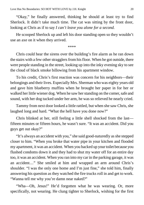"Okay," he finally answered, thinking he should at least try to find Sherlock. It didn't take much time. The cat was sitting by the front door, looking at Chris as if to say *I can't leave you alone for a second.*

He scooped Sherlock up and left his door standing open so they wouldn't use an axe on it when they arrived.

\*\*\*\*

Chris could hear the sirens over the building's fire alarm as he ran down the stairs with a few other stragglers from his floor. When he got outside, there were people standing in the street, looking up into the inky evening sky to see the cloud of black smoke billowing from his apartment window.

To his credit, Chris's first reaction was concern for his neighbors—their belongings and their lives. Especially Mrs. Sherman who was eighty years old and gave him blueberry muffins when he brought her paper in for her or walked her little wiener dog. When he saw her standing on the corner, safe and sound, with her dog tucked under her arm, he was so relieved he nearly cried.

Tammy from next door looked a little rattled, but when she saw Chris, she laughed long and hard. "What the hell have you done now?"

Chris blinked at her, still feeling a little shell shocked from the last fifteen minutes or fifteen hours, he wasn't sure. "It was an accident. Did you guys get out okay?"

"It's always an accident with you," she said good-naturedly as she stepped closer to him. "When you broke that water pipe in your kitchen and flooded my apartment, it was an accident. When you backed up your toilet because you flushed condoms down it and they had to shut my water off for an entire day too, it was an accident. When you ran into my car in the parking garage, it was an accident…" She smiled at him and wrapped an arm around Chris's shoulder. "I was the only one home and I'm just fine," she told him, finally answering his question as they watched the fire trucks roll in and get to work. "Wanna tell me why you're damn near naked?"

"Wha—Oh, Jesus!" He'd forgotten what he was wearing. Or, more specifically, not wearing. He clung tighter to Sherlock, wishing for the first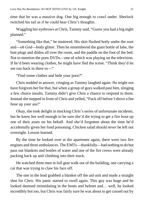time that he was a massive dog. One big enough to crawl under. Sherlock twitched his tail as if he could hear Chris's thoughts.

Waggling her eyebrows at Chris, Tammy said, "Guess you had a big night planned."

"Something like that," he muttered. His skin flushed hotly under the soot and—*oh God*—body glitter. Then he remembered the giant bottle of lube, the butt plugs and dildos all over the room, and the paddle on the foot of the bed. Not to mention the porn DVDs—one of which was playing on the television. If he'd been wearing clothes, he might have fled the scene. "Think they'd let me run back in there to—"

"Find some clothes and hide your porn?"

Chris nodded in answer, cringing as Tammy laughed again. He might not have forgiven her for that, but when a group of guys walked past him, slinging a few choice insults, Tammy didn't give Chris a chance to respond to them. Instead she stepped in front of Chris and yelled, "Fuck off before Ishove a fire hose up your ass!"

Okay, she took delight in mocking Chris's series of unfortunate incidents, but he knew her well enough to be sure she'd die trying to get a fire hose up one of their asses on his behalf. And she'd forgotten about the time he'd accidentally given her food poisoning. Chicken salad should *never* be left out overnight. Lesson learned.

By the time he looked over at the apartment again, there were two fire engines and three ambulances. The EMTs—thankfully—had nothing to do but pass out blankets and bottles of water and one of the fire crews were already packing back up and climbing into their truck.

He watched three men in full gear walk out of the building, one carrying a cat that was trying to claw his face off.

The one in the lead grabbed a blanket off the aid unit and made a straight shot for Chris. His panic started to swell again. This guy was huge and he looked damned intimidating in the boots and helmet and… well, he looked incredibly hot too, but Chris was fairly sure he was about to get cussed out by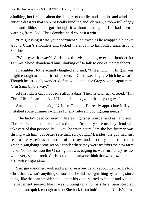a hulking, hot fireman about the dangers of candles and curtains and wind and antique dressers that were basically kindling and, oh yeah, a room full of gay porn and dildos. If he got through it without hearing the fire had been a warning from God, Chris decided he'd count it a win.

"I'm guessing it was your apartment?" he asked as he wrapped a blanket around Chris's shoulders and tucked the ends into his folded arms around Sherlock.

"What gave it away?" Chris asked dryly, looking over his shoulder for Tammy. She'd abandoned him, slinking off to talk to one of the neighbors.

Firefighter Hottie actually laughed and said, "Just a hunch." His grin was bright enough to start a fire of its own. If Chris was single. Which he wasn't. Though he seriously wondered if he would be once Greg saw the apartment. "I'm Sam, by the way."

At first Chris only nodded, still in a daze. Then he clumsily offered, "I'm Chris. Uh… I can't decide if I should apologize or thank you guys."

Sam laughed and said, "Neither. Though, I'd really appreciate it if you installed some dimmer switches for any future mood lighting needs."

If he hadn't been covered in fire extinguisher powder and ash and soot, Chris knew he'd be as red as his thong. "I'm pretty sure my boyfriend will take care of that personally." Okay, he wasn't sure Sam-the-hot-fireman was flirting with him, but better safe than sorry, right? Besides, the guy had just seen a pretty serious collection of sex toys and probably noticed a rather graphic gangbang scene set on a ranch where they were *training* the new farm hand. Not to mention the G-string that was edging its way further up his ass with every step he took. Chris couldn't let anyone think that was how he spent his Friday night alone.

Sam gave another laugh and went over a few details about the fire. He told Christhat it wasn't anything serious, but he did the right thing by calling since things like that can smolder and… then his voice started to fade in and out and the pavement seemed like it was jumping up at Chris's face. Sam steadied him, but not quick enough to stop Sherlock from bolting out of Chris's arms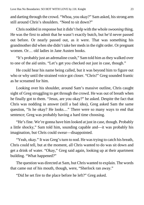and darting through the crowd. "Whoa, you okay?" Sam asked, his strong arm still around Chris's shoulders. "Need to sit down?"

Chris nodded in response but it didn't help with the whole *swooning* thing. He was the first to admit that he wasn't exactly butch, but he'd never passed out before. Or nearly passed out, as it were. That was something his grandmother did when she didn't take her meds in the right order. Or pregnant women. Or… old ladies in Jane Austen books.

"It's probably just an adrenaline crash," Sam told him as they walked over to one of the aid units. "Let's get you checked out just in case, though."

He could hear his name being called, but it was beyond him to figure out who or why until the strained voice got closer. "Chris!" Greg sounded frantic as he screamed for him.

Looking over his shoulder, around Sam's massive outline, Chris caught sight of Greg struggling to get through the crowd. He was out of breath when he finally got to them. "Jesus, are you okay?" he asked. Despite the fact that Chris was nodding in answer (still a bad idea), Greg asked Sam the same question, "Is he okay? He looks…" There were so many ways to end that sentence; Greg was probably having a hard time choosing.

"He's fine. We're gonna have him looked at just in case, though. Probably a little shocky," Sam told him, sounding capable and—it was probably his imagination, but Chris could swear—disappointed.

"Yeah, okay." It was Greg's turn to nod. He was trying to catch his breath, Chris could tell, but at the moment, all Chris wanted to do was sit down and get a drink of water. "Okay," Greg said again, looking up at their apartment building. "What happened?"

The question was directed at Sam, but Chris wanted to explain. The words that came out of his mouth, though, were, "Sherlock ran away."

"Did he set fire to the place before he left?" Greg asked.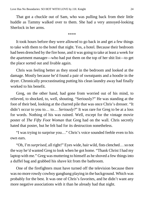That got a chuckle out of Sam, who was pulling back from their little huddle as Tammy walked over to them. She had a very annoyed-looking Sherlock in her arms.

\*\*\*\*

It took hours before they were allowed to go back in and get a few things to take with them to the hotel that night. Yes, a hotel. Because their bedroom had been drenched by the fire hose, and it was going to take at least a week for the apartment manager—who had put them on the top of her shit list—to get the place sorted out and livable again.

Chris was feeling better as they stood in the bedroom and looked at the damage. Mostly because he'd found a pair of sweatpants and a hoodie in the dryer. Chronically procrastinating putting his clean laundry away had finally worked to his benefit.

Greg, on the other hand, had gone from worried out of his mind, to relieved, to shocked, to, well, shouting. "Seriously?" He was standing at the foot of their bed, looking at the charred pile that was once Chris's dresser. "It didn't occur to you to… to… *Seriously*?" It was rare for Greg to be at a loss for words. Nothing of his was ruined. Well, except for the vintage movie poster of *The Fifty Foot Woman* that Greg had on the wall. Chris secretly hated that poster, but he felt bad for its destruction nonetheless.

"I was trying to surprise you…" Chris's voice sounded feeble even to his own ears.

"Oh, I'm *surprised*, all right!" Eyes wide, hair wild, fists clenched… so not the way he'd wanted Greg to look when he got home. "Thank Christ I had my laptop with me." Greg was muttering to himself as he shoved a few things into a duffel bag and grabbed his shave kit from the bathroom.

One of the firefighters must have turned off the television because there was no more rowdy cowboy gangbang playing in the background. Which was probably for the best. It was one of Chris's favorites, and he didn't want any more negative associations with it than he already had that night.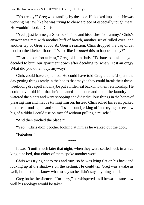"You ready?" Greg was standing by the door. He looked impatient. He was working his jaw like he was trying to chew a piece of especially tough meat. He wouldn't look at Chris.

"Yeah, just lemme get Sherlock's food and his dishes for Tammy." Chris's answer was met with another huff of breath, another set of rolled eyes, and another tap of Greg's foot. At Greg's reaction, Chris dropped the bag of cat food on the kitchen floor. "It's not like I *wanted* this to happen, okay?"

"That's a comfort at least," Greg told him flatly. "I'd hate to think that you decided to burn our apartment down after deciding to, what? Host an orgy? What did you do all day, anyway?"

Chris could have explained. He could have told Greg that he'd spent the day getting things ready in the hopes that maybe they could break their threeweek-long dry spell and maybe put a little heat back into their relationship. He could have told him that he'd cleaned the house and done the laundry and watered the plants and went shopping and did ridiculous things in the hopes of pleasing him and maybe turning him on. Instead Chris rolled his eyes, picked up the cat food again, and said, "I sat around jerking off and trying to see how big of a dildo I could use on myself without pulling a muscle."

"And then torched the place?"

"Yep." Chris didn't bother looking at him as he walked out the door.

"Fabulous."

\*\*\*\*

It wasn't until much later that night, when they were settled back in a nice king-size bed, that either of them spoke another word.

Chris was trying not to toss and turn, so he was lying flat on his back and looking up at the shadows on the ceiling. He could tell Greg was awake as well, but he didn't know what to say so he didn't say anything at all.

Greg broke the silence. "I'm sorry," he whispered, as if he wasn't sure how well his apology would be taken.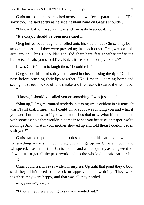Chris turned then and reached across the two feet separating them. "I'm sorry too," he said softly as he set a hesitant hand on Greg's shoulder.

"I know, baby. I'm sorry I was such an asshole about it. I…"

"It's okay. I should've been more careful."

Greg huffed out a laugh and rolled onto his side to face Chris. They both scooted closer until they were pressed against each other. Greg wrapped his arm around Chris's shoulder and slid their bare feet together under the blankets. "Yeah, you should've. But… it freaked me out, ya know?"

It was Chris's turn to laugh then. "I could tell."

Greg shook his head softly and leaned in close, kissing the tip of Chris's nose before brushing their lips together. "No, I mean… coming home and seeing the street blocked off and smoke and fire trucks, it scared the hell out of me."

"I know, I should've called you or something, I was just so—"

"Shut up," Greg murmured tenderly, a teasing smile evident in histone. "It wasn't just that. I mean, all I could think about was finding you and what if you were hurt and what if you were at the hospital or… What if I had to deal with some asshole that wouldn't let me in to see you because, on paper, we're nothing? And, what if your mother showed up and told them I couldn't even visit you?"

Chris started to point out that the odds on either of his parents showing up for anything were slim, but Greg put a fingertip on Chris's mouth and whispered, "Let me finish." Chris nodded and waited quietly as Greg went on. "I want us to get all the paperwork and do the whole domestic partnership thing."

Chris could feel his eyes widen in surprise. Up until that point they'd both said they didn't need paperwork or approval or a wedding. They were together, they were happy, and that was all they needed.

"You can talk now."

"I thought you were going to say you wanted out."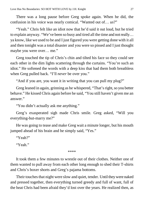There was a long pause before Greg spoke again. When he did, the confusion in his voice was nearly comical. "Wanted out of… *us*?"

"Yeah." Chris felt like an idiot now that he'd said it out loud, but he tried to explain anyway. "We've been so busy and tired all the time and notreally… ya know, like we used to be and I just figured you were getting done with it all and then tonight was a total disaster and you were so pissed and I just thought maybe you were over… me."

Greg touched the tip of Chris's chin and tilted his face so they could see each other in the dim lights scattering through the curtains. "You're such an idiot." He softened the words with a deep kiss that had them both breathless when Greg pulled back. "I'll *never* be over you."

"And if you are, you want it in writing that you can pull my plug?"

Greg leaned in again, grinning as he whispered, "That's right, so you better behave." He kissed Chris again before he said, "You still haven't given me an answer."

"You didn't actually ask me anything."

Greg's exasperated sigh made Chris smile. Greg asked, "Will you everything-but-marry me?"

He was going to tease and make Greg wait a minute longer, but his mouth jumped ahead of his brain and he simply said, "Yes."

"Yeah?"

"Yeah."

\*\*\*\*

It took them a few minutes to wrestle out of their clothes. Neither one of them wanted to pull away from each other long enough to shed their T-shirts and Chris's boxer shorts and Greg's pajama bottoms.

Their touches that night were slow and quiet, tender. Until they were naked and pressed together, then everything turned greedy and full of want, full of the heat Chris had been afraid they'd lost over the years. He realized then, as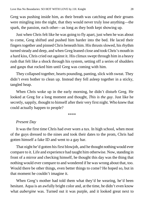Greg was pushing inside him, as their breath was catching and their groans were mingling into the night, that they would never truly lose anything—the spark, the passion, each other—as long as they both kept showing up.

Just when Chris felt like he was going to fly apart, just when he was about to come, Greg shifted and pushed him harder into the bed. He laced their fingers together and pinned Chris beneath him. Histhrusts slowed, hisrhythm turned steady and deep, and when Greg leaned close and tookChris's mouth in a hard kiss, Chris cried out against it. His climax swept through him in a heavy rush that felt like a shock through his system, setting off a series of shudders and gasps that rocked him until Greg was coming with him.

They collapsed together, hearts pounding, panting, slick with sweat. They didn't even bother to clean up. Instead they fell asleep together in a sticky, tangled heap.

When Chris woke up in the early morning, he didn't disturb Greg. He looked at Greg for a long moment and thought, *This is the guy*. Just like he secretly, sappily, thought to himself after their very first night. Who knew that could actually happen to people?

\*\*\*\*

#### *Present Day*

It was the first time Chris had ever worn a tux. In high school, when most of the guys dressed to the nines and took their dates to the prom, Chris had gotten himself a fake ID and went to a gay bar.

That night he'd gotten his first blowjob, and he thought nothing would ever compare to it. Life and experience had taught him otherwise. Now, standing in front of a mirror and checking himself, he thought this day was the thing that nothing would ever compare to and wondered if he was wrong about that, too. Would there be other things, even better things to come? He hoped so, but in that moment he couldn't imagine it.

When Greg's mother had told them what they'd be wearing, he'd been hesitant. Aqua is an awfully bright color and, at the time, he didn't even know what *aubergine* was. Turned out it was purple, and it looked great next to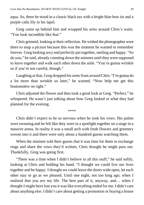aqua. So, there he stood in a classic black tux with a bright blue bow tie and a purple calla lily in his lapel.

Greg came up behind him and wrapped his arms around Chris's waist. "You look incredible like that."

Chris grinned, looking at their reflection. Hewished the photographer were there to snap a picture because this was the moment he wanted to remember forever. Greg looking sexy and perfectly put together, smiling and happy. "So do you," he said, already counting down the minutes until they were supposed to leave together and walk each other down the aisle. "You're gonna wrinkle us if you're not careful, though."

Laughing at that, Greg dropped his arms from around Chris. "I'm gonna do a lot more than wrinkle us later," he warned. "Now help me get this boutonnière on right."

Chris adjusted the flower and then took a good look at Greg. "Perfect," he whispered. He wasn't just talking about how Greg looked or what they had planned for the evening.

\*\*\*\*

Chris didn't expect to be so nervous when he took his vows. His palms were sweating and he felt like they were in a spotlight together on a stage in a massive arena. In reality it was a small arch with fresh flowers and greenery woven into it and there were only about a hundred guests watching them.

When the minister told their guests that it was time for them to exchange rings and share the vows they'd written, Chris thought he might pass out. Thankfully, Greg was going first.

"There was a time when I didn't believe in all this stuff," he said softly, looking at Chris and holding his hand. "I thought we could live our lives together and be happy. I thought we could leave the doors wide open, let each other stay or go as we pleased. Until one night, not too long ago, when I realized that you *are* my life. The best part of it, anyway, and… when I thought I might have lost you it was like everything ended for me. I didn't care about anything else. I didn't care about getting a promotion or buying a house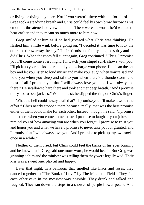or living or dying anymore. Not if you weren't there with me for all of it." Greg took a steadying breath and Chris could feel his own brow furrow as his emotions threatened to overwhelm him. These were the words he'd wanted to hear earlier and they meant so much more to him now.

Greg smiled at him as if he had guessed what Chris was thinking. He flashed him a little wink before going on. "I decided it was time to lock the door and throw away the key." Their friends and family laughed softly and so did Chris. When the room fell silent again, Greg continued. "Chris, I promise you I'll come home every night. I'll watch your stupid sci-fi shows with you. I'll pick up your socks and remind you to charge your phone. I'll clean the cat box and let you listen to loud music and make you laugh when you're sad and hold you when you sleep and talk to you when there's a thunderstorm and most of all I promise you that I will always love you and I will always be there." He swallowed hard there and took another deep breath. "And I promise to try not to be a jackass." With the last, he slipped the ring on Chris's finger.

What the hell could he say to all that? "I promise you I'll make it worth the effort." Chris nearly stopped there because, really, that was the best promise either of them could make for each other. Instead, though, he said, "I promise to be there when you come home to me. I promise to laugh at your jokes and remind you of how amazing you are when you forget. I promise to trust you and honor you and what we have. I promise to never take you for granted, and I promise that I will always love you. And I promise to pick up my own socks once in a while."

Neither of them cried, but Chris could feel the backs of his eyes burning and he knew that if Greg said one more word, he would lose it. But Greg was grinning at him and the minister was telling them they were legally wed. Their kiss was a sweet one, playful and happy.

Later that night, in a ballroom that smelled like lilacs and roses, they danced together to "The Book of Love" by The Magnetic Fields. They fed each other cake in the messiest way possible. They drank and talked and laughed. They ran down the steps in a shower of purple flower petals. And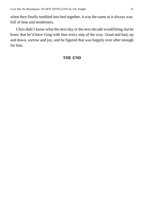when they finally tumbled into bed together, it was the same as it always was: full of heat and tenderness.

Chris didn't know what the next day or the next decade would bring, but he knew that he'd have Greg with him every step of the way. Good and bad, up and down, sorrow and joy, and he figured that was happily ever after enough for him.

#### **THE END**